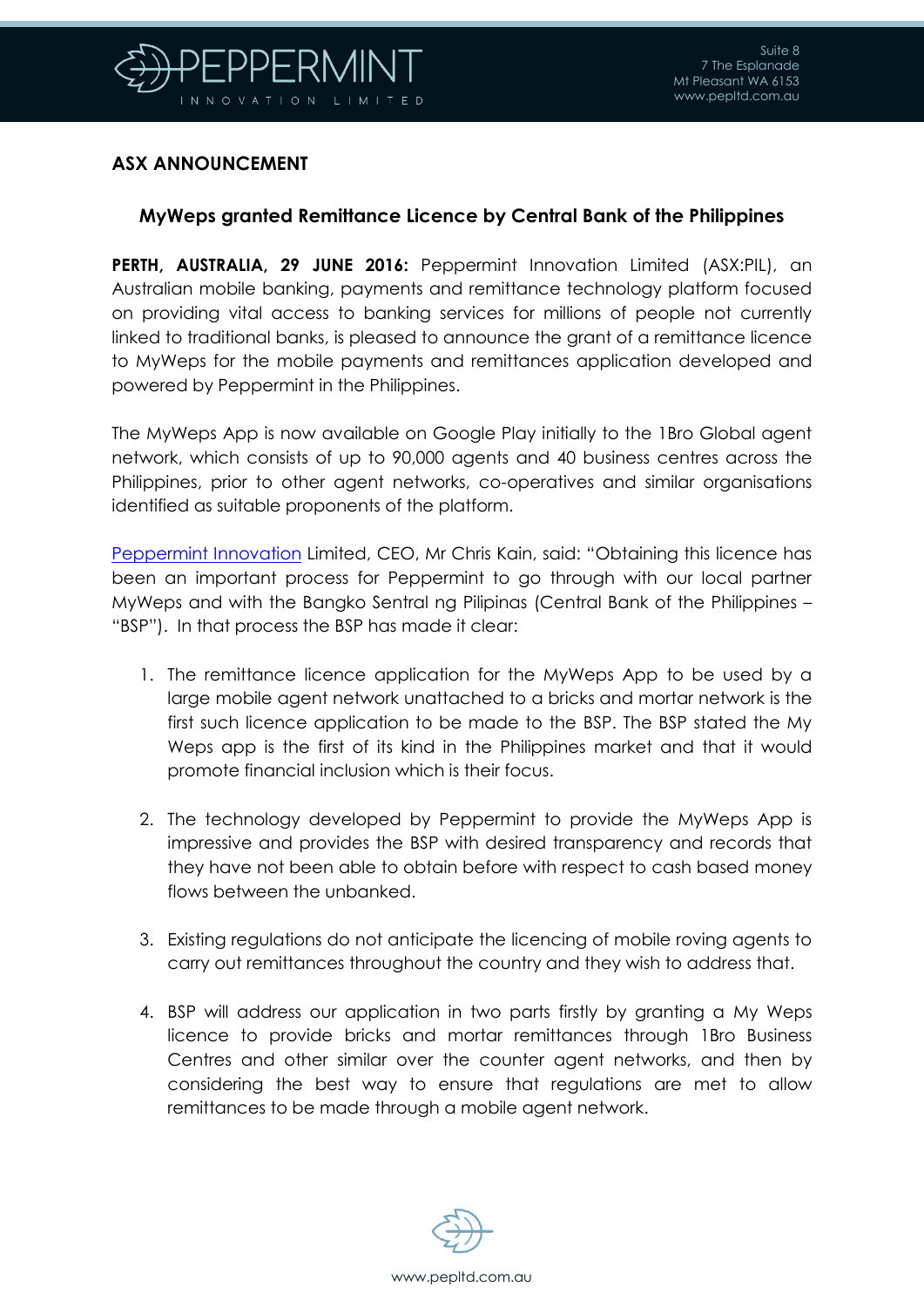

## **ASX ANNOUNCEMENT**

## **MyWeps granted Remittance Licence by Central Bank of the Philippines**

**PERTH, AUSTRALIA, 29 JUNE 2016:** Peppermint Innovation Limited (ASX:PIL), an Australian mobile banking, payments and remittance technology platform focused on providing vital access to banking services for millions of people not currently linked to traditional banks, is pleased to announce the grant of a remittance licence to MyWeps for the mobile payments and remittances application developed and powered by Peppermint in the Philippines.

The MyWeps App is now available on Google Play initially to the 1Bro Global agent network, which consists of up to 90,000 agents and 40 business centres across the Philippines, prior to other agent networks, co-operatives and similar organisations identified as suitable proponents of the platform.

[Peppermint Innovation](http://www.pepltd.com.au/) Limited, CEO, Mr Chris Kain, said: "Obtaining this licence has been an important process for Peppermint to go through with our local partner MyWeps and with the Bangko Sentral ng Pilipinas (Central Bank of the Philippines – "BSP"). In that process the BSP has made it clear:

- 1. The remittance licence application for the MyWeps App to be used by a large mobile agent network unattached to a bricks and mortar network is the first such licence application to be made to the BSP. The BSP stated the My Weps app is the first of its kind in the Philippines market and that it would promote financial inclusion which is their focus.
- 2. The technology developed by Peppermint to provide the MyWeps App is impressive and provides the BSP with desired transparency and records that they have not been able to obtain before with respect to cash based money flows between the unbanked.
- 3. Existing regulations do not anticipate the licencing of mobile roving agents to carry out remittances throughout the country and they wish to address that.
- 4. BSP will address our application in two parts firstly by granting a My Weps licence to provide bricks and mortar remittances through 1Bro Business Centres and other similar over the counter agent networks, and then by considering the best way to ensure that regulations are met to allow remittances to be made through a mobile agent network.